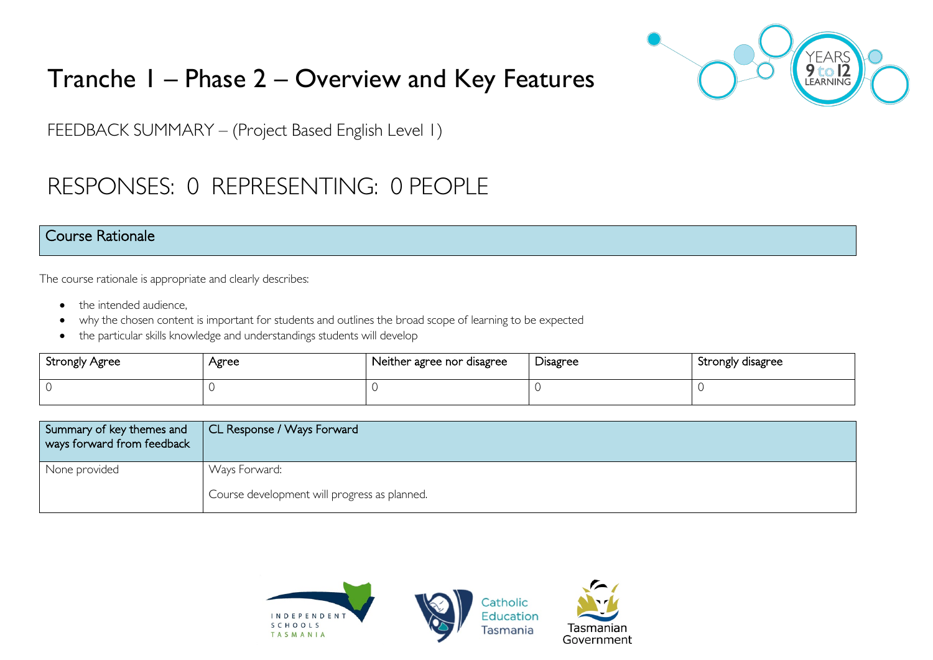# Tranche 1 – Phase 2 – Overview and Key Features



FEEDBACK SUMMARY – (Project Based English Level 1)

# RESPONSES: 0 REPRESENTING: 0 PEOPLE

### Course Rationale

The course rationale is appropriate and clearly describes:

- the intended audience.
- why the chosen content is important for students and outlines the broad scope of learning to be expected
- the particular skills knowledge and understandings students will develop

| <b>Strongly Agree</b> | Agree | Neither agree nor disagree | Disagree | Strongly disagree |
|-----------------------|-------|----------------------------|----------|-------------------|
|                       |       |                            |          |                   |

| Summary of key themes and<br>ways forward from feedback | CL Response / Ways Forward                   |
|---------------------------------------------------------|----------------------------------------------|
| None provided                                           | Ways Forward:                                |
|                                                         | Course development will progress as planned. |

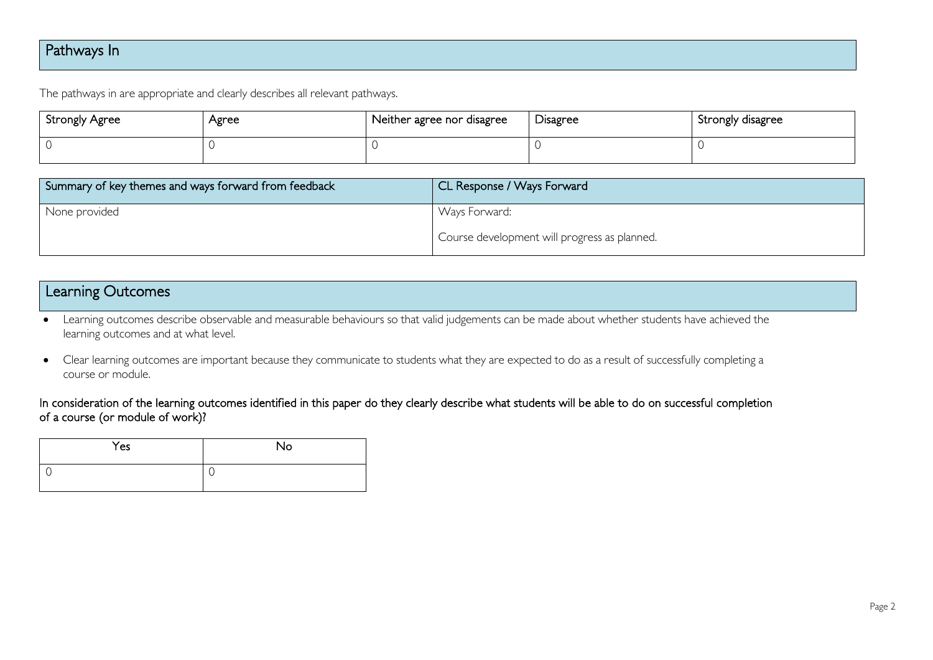# Pathways In

The pathways in are appropriate and clearly describes all relevant pathways.

| Strongly Agree | Agree | Neither agree nor disagree | Disagree | Strongly disagree |
|----------------|-------|----------------------------|----------|-------------------|
| $\cap$         |       |                            |          |                   |

| Summary of key themes and ways forward from feedback | CL Response / Ways Forward                   |
|------------------------------------------------------|----------------------------------------------|
| None provided                                        | Ways Forward:                                |
|                                                      | Course development will progress as planned. |

| <b>Learning Outcomes</b> |  |
|--------------------------|--|
|--------------------------|--|

• Learning outcomes describe observable and measurable behaviours so that valid judgements can be made about whether students have achieved the learning outcomes and at what level.

• Clear learning outcomes are important because they communicate to students what they are expected to do as a result of successfully completing a course or module.

#### In consideration of the learning outcomes identified in this paper do they clearly describe what students will be able to do on successful completion of a course (or module of work)?

| Yes | No |
|-----|----|
|     | ◡  |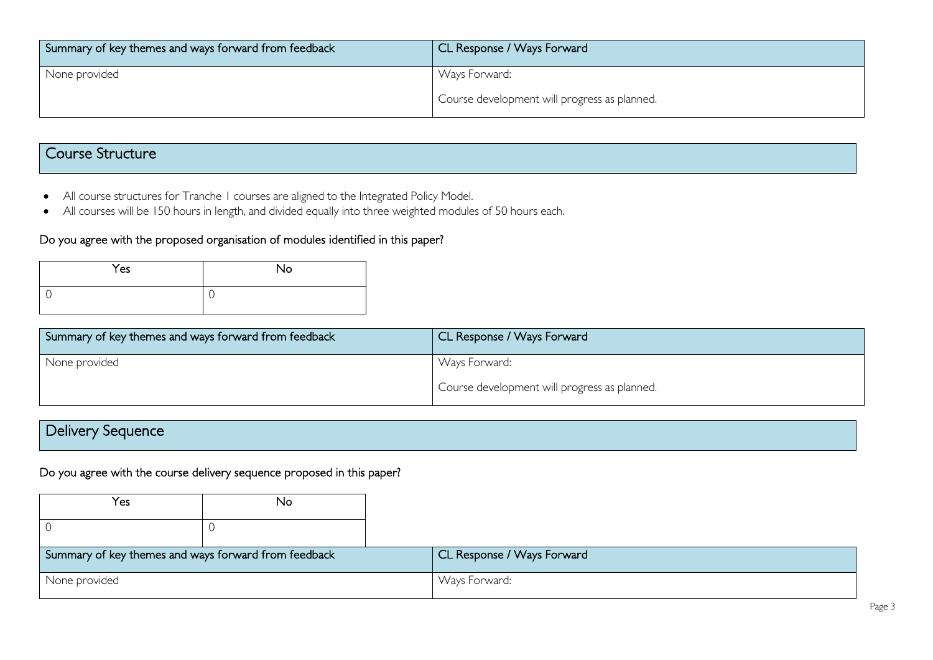| Summary of key themes and ways forward from feedback | CL Response / Ways Forward                   |
|------------------------------------------------------|----------------------------------------------|
| None provided                                        | Ways Forward:                                |
|                                                      | Course development will progress as planned. |

# Course Structure

- All course structures for Tranche 1 courses are aligned to the Integrated Policy Model.
- All courses will be 150 hours in length, and divided equally into three weighted modules of 50 hours each.

#### Do you agree with the proposed organisation of modules identified in this paper?

| Yes | No |
|-----|----|
|     | ◡  |

| Summary of key themes and ways forward from feedback | CL Response / Ways Forward                   |
|------------------------------------------------------|----------------------------------------------|
| None provided                                        | Ways Forward:                                |
|                                                      | Course development will progress as planned. |

| $\overline{\phantom{a}}$<br>Sequence<br>Delivery ' |  |  |
|----------------------------------------------------|--|--|
|                                                    |  |  |

#### Do you agree with the course delivery sequence proposed in this paper?

| Yes                                                  | No |                            |
|------------------------------------------------------|----|----------------------------|
|                                                      |    |                            |
| Summary of key themes and ways forward from feedback |    | CL Response / Ways Forward |
| None provided                                        |    | Ways Forward:              |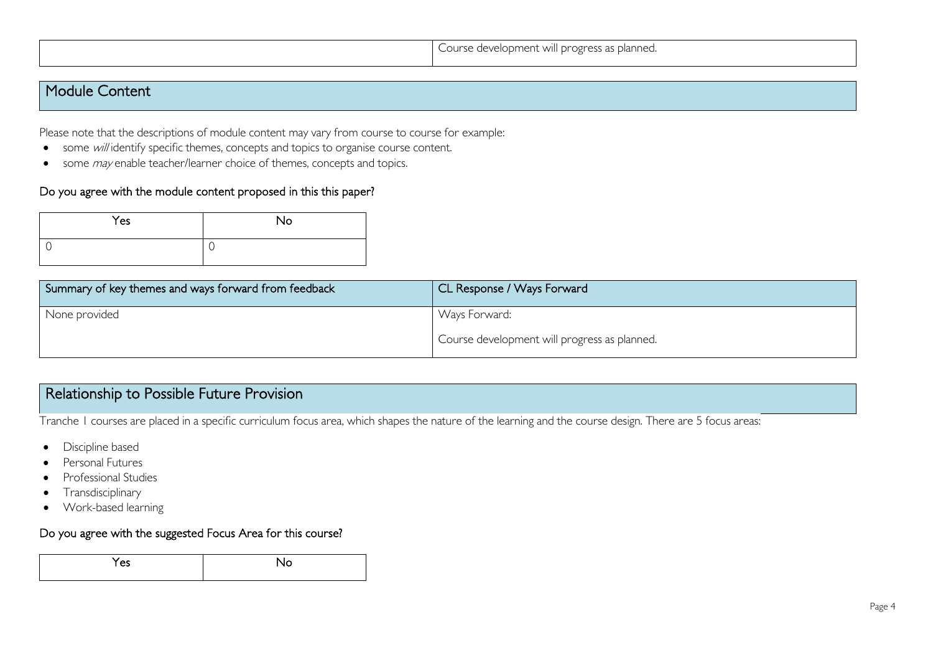## Module Content

Please note that the descriptions of module content may vary from course to course for example:

- some will identify specific themes, concepts and topics to organise course content.
- some *may* enable teacher/learner choice of themes, concepts and topics.

#### Do you agree with the module content proposed in this this paper?

| Yes | No |
|-----|----|
|     | ◡  |

| Summary of key themes and ways forward from feedback | CL Response / Ways Forward                   |
|------------------------------------------------------|----------------------------------------------|
| None provided                                        | Ways Forward:                                |
|                                                      | Course development will progress as planned. |

# Relationship to Possible Future Provision

Tranche 1 courses are placed in a specific curriculum focus area, which shapes the nature of the learning and the course design. There are 5 focus areas:

- Discipline based
- Personal Futures
- Professional Studies
- Transdisciplinary
- Work-based learning

#### Do you agree with the suggested Focus Area for this course?